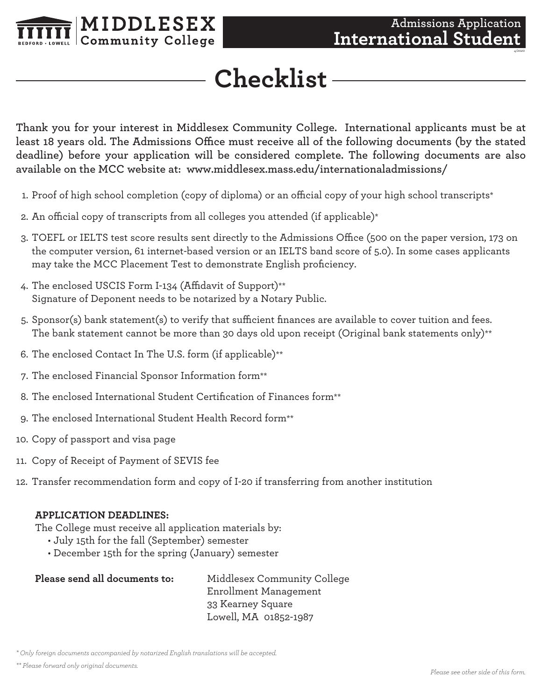

*4/2020*

## **Checklist**

**Thank you for your interest in Middlesex Community College. International applicants must be at least 18 years old. The Admissions Office must receive all of the following documents (by the stated deadline) before your application will be considered complete. The following documents are also available on the MCC website at: www.middlesex.mass.edu/internationaladmissions/**

- 1. Proof of high school completion (copy of diploma) or an official copy of your high school transcripts\*
- 2. An official copy of transcripts from all colleges you attended (if applicable)\*
- 3. TOEFL or IELTS test score results sent directly to the Admissions Office (500 on the paper version, 173 on the computer version, 61 internet-based version or an IELTS band score of 5.0). In some cases applicants may take the MCC Placement Test to demonstrate English proficiency.
- 4. The enclosed USCIS Form I-134 (Affidavit of Support)\*\* Signature of Deponent needs to be notarized by a Notary Public.
- 5. Sponsor(s) bank statement(s) to verify that sufficient finances are available to cover tuition and fees. The bank statement cannot be more than 30 days old upon receipt (Original bank statements only)\*\*
- 6. The enclosed Contact In The U.S. form (if applicable)\*\*
- 7. The enclosed Financial Sponsor Information form\*\*
- 8. The enclosed International Student Certification of Finances form\*\*
- 9. The enclosed International Student Health Record form\*\*
- 10. Copy of passport and visa page
- 11. Copy of Receipt of Payment of SEVIS fee
- 12. Transfer recommendation form and copy of I-20 if transferring from another institution

## **APPLICATION DEADLINES:**

The College must receive all application materials by:

- July 15th for the fall (September) semester
- December 15th for the spring (January) semester

| Please send all documents to: | Middlesex Community College |
|-------------------------------|-----------------------------|
|                               | Enrollment Management       |
|                               | 33 Kearney Square           |
|                               | Lowell, MA 01852-1987       |

*<sup>\*</sup> Only foreign documents accompanied by notarized English translations will be accepted.*